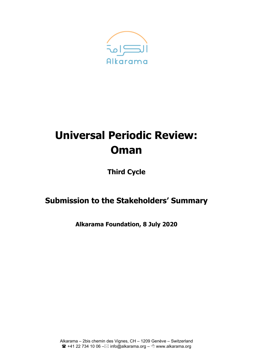

# **Universal Periodic Review: Oman**

**Third Cycle**

# **Submission to the Stakeholders' Summary**

**Alkarama Foundation, 8 July 2020**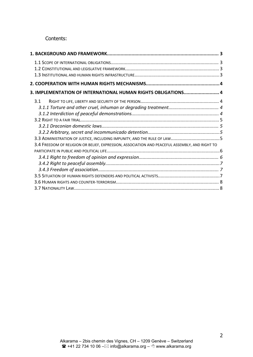Contents:

| 3. IMPLEMENTATION OF INTERNATIONAL HUMAN RIGHTS OBLIGATIONS 4                                  |  |
|------------------------------------------------------------------------------------------------|--|
| 3.1                                                                                            |  |
|                                                                                                |  |
| 3.4 FREEDOM OF RELIGION OR BELIEF, EXPRESSION, ASSOCIATION AND PEACEFUL ASSEMBLY, AND RIGHT TO |  |
|                                                                                                |  |
|                                                                                                |  |
|                                                                                                |  |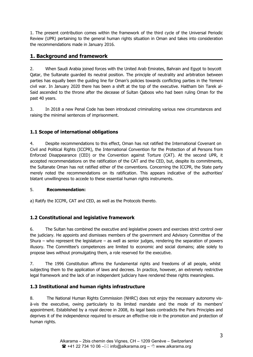<span id="page-2-0"></span>1. The present contribution comes within the framework of the third cycle of the Universal Periodic Review (UPR) pertaining to the general human rights situation in Oman and takes into consideration the recommendations made in January 2016.

# **1. Background and framework**

2. When Saudi Arabia joined forces with the United Arab Emirates, Bahrain and Egypt to boycott Qatar, the Sultanate guarded its neutral position. The principle of neutrality and arbitration between parties has equally been the guiding line for Oman'<sup>s</sup> policies towards conflicting parties in the Yemeni civil war. In January 2020 there has been <sup>a</sup> shift at the top of the executive. Haitham bin Tarek al-Said ascended to the throne after the decease of Sultan Qaboos who had been ruling Oman for the past 40 years.

3. In 2018 <sup>a</sup> new Penal Code has been introduced criminalizing various new circumstances and raising the minimal sentences of imprisonment.

# **1.1 Scope of international obligations**

4. Despite recommendations to this effect, Oman has not ratified the International Covenant on Civil and Political Rights (ICCPR), the International Convention for the Protection of all Persons from Enforced Disappearance (CED) or the Convention against Torture (CAT). At the second UPR, it accepted recommendations on the ratification of the CAT and the CED, but, despite its commitments, the Sultanate Oman has not ratified either of the conventions. Concerning the ICCPR, the State party merely noted the recommendations on its ratification. This appears indicative of the authorities' blatant unwillingness to accede to these essential human rights instruments.

# 5. **Recommendation:**

a) Ratify the ICCPR, CAT and CED, as well as the Protocols thereto.

# **1.2 Constitutional and legislative framework**

6. The Sultan has combined the executive and legislative powers and exercises strict control over the judiciary. He appoints and dismisses members of the government and Advisory Committee of the Shura – who represent the legislature – as well as senior judges, rendering the separation of powers illusory. The Committee'<sup>s</sup> competences are limited to economic and social domains; able solely to propose laws without promulgating them, <sup>a</sup> role reserved for the executive.

7. The 1996 Constitution affirms the fundamental rights and freedoms of all people, whilst subjecting them to the application of laws and decrees. In practice, however, an extremely restrictive legal framework and the lack of an independent judiciary have rendered these rights meaningless.

# **1.3 Institutional and human rights infrastructure**

8. The National Human Rights Commission (NHRC) does not enjoy the necessary autonomy visà-vis the executive, owing particularly to its limited mandate and the mode of its members' appointment. Established by <sup>a</sup> royal decree in 2008, its legal basis contradicts the Paris Principles and deprives it of the independence required to ensure an effective role in the promotion and protection of human rights.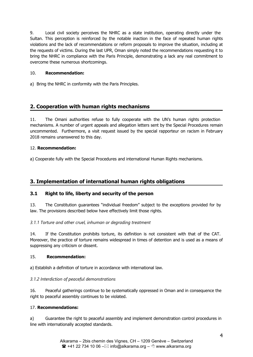<span id="page-3-0"></span>9. Local civil society perceives the NHRC as <sup>a</sup> state institution, operating directly under the Sultan. This perception is reinforced by the notable inaction in the face of repeated human rights violations and the lack of recommendations or reform proposals to improve the situation, including at the requests of victims. During the last UPR, Oman simply noted the recommendations requesting it to bring the NHRC in compliance with the Paris Principle, demonstrating <sup>a</sup> lack any real commitment to overcome these numerous shortcomings.

#### 10. **Recommendation:**

a) Bring the NHRC in conformity with the Paris Principles.

# **2. Cooperation with human rights mechanisms**

11. The Omani authorities refuse to fully cooperate with the UN'<sup>s</sup> human rights protection mechanisms. A number of urgent appeals and allegation letters sent by the Special Procedures remain uncommented. Furthermore, <sup>a</sup> visit request issued by the special rapporteur on racism in February 2018 remains unanswered to this day.

#### 12. **Recommendation:**

a) Cooperate fully with the Special Procedures and international Human Rights mechanisms.

# **3. Implementation of international human rights obligations**

# **3.1 Right to life, liberty and security of the person**

13. The Constitution guarantees "individual freedom" subject to the exceptions provided for by law. The provisions described below have effectively limit those rights.

*3.1.1 Torture and other cruel, inhuman or degrading treatment*

14. If the Constitution prohibits torture, its definition is not consistent with that of the CAT. Moreover, the practice of torture remains widespread in times of detention and is used as <sup>a</sup> means of suppressing any criticism or dissent.

#### 15. **Recommendation:**

a) Establish <sup>a</sup> definition of torture in accordance with international law.

#### *3.1.2 Interdiction of peaceful demonstrations*

16. Peaceful gatherings continue to be systematically oppressed in Oman and in consequence the right to peaceful assembly continues to be violated.

# 17. **Recommendations:**

a) Guarantee the right to peaceful assembly and implement demonstration control procedures in line with internationally accepted standards.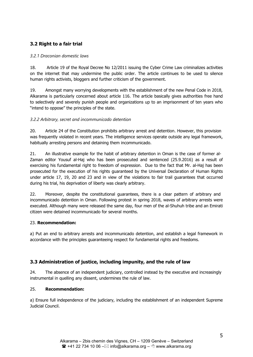# <span id="page-4-0"></span>**3.2 Right to <sup>a</sup> fair trial**

#### *3.2.1 Draconian domestic laws*

18. Article 19 of the Royal Decree No 12/2011 issuing the Cyber Crime Law criminalizes activities on the internet that may undermine the public order. The article continues to be used to silence human rights activists, bloggers and further criticism of the government.

19. Amongst many worrying developments with the establishment of the new Penal Code in 2018, Alkarama is particularly concerned about article 116. The article basically gives authorities free hand to selectively and severely punish people and organizations up to an imprisonment of ten years who "intend to oppose" the principles of the state.

#### *3.2.2 Arbitrary, secret and incommunicado detention*

20. Article 24 of the Constitution prohibits arbitrary arrest and detention. However, this provision was frequently violated in recent years. The intelligence services operate outside any legal framework, habitually arresting persons and detaining them incommunicado.

21. An illustrative example for the habit of arbitrary detention in Oman is the case of former al-Zaman editor Yousuf al-Haj who has been prosecuted and sentenced (25.9.2016) as <sup>a</sup> result of exercising his fundamental right to freedom of expression. Due to the fact that Mr. al-Haj has been prosecuted for the execution of his rights guaranteed by the Universal Declaration of Human Rights under article 17, 19, 20 and 23 and in view of the violations to fair trail guarantees that occurred during his trial, his deprivation of liberty was clearly arbitrary.

22. Moreover, despite the constitutional quarantees, there is a clear pattern of arbitrary and incommunicado detention in Oman. Following protest in spring 2018, waves of arbitrary arrests were executed. Although many were released the same day, four men of the al-Shuhuh tribe and an Emirati citizen were detained incommunicado for several months.

#### 23. **Recommendation:**

a) Put an end to arbitrary arrests and incommunicado detention, and establish <sup>a</sup> legal framework in accordance with the principles guaranteeing respect for fundamental rights and freedoms.

# **3.3 Administration of justice, including impunity, and the rule of law**

24. The absence of an independent judiciary, controlled instead by the executive and increasingly instrumental in quelling any dissent, undermines the rule of law.

#### 25. **Recommendation:**

a) Ensure full independence of the judiciary, including the establishment of an independent Supreme Judicial Council.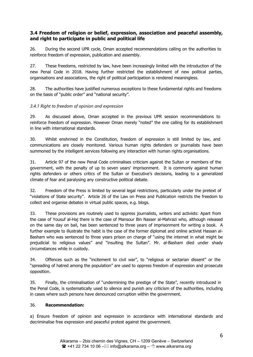# <span id="page-5-0"></span>**3.4 Freedom of religion or belief, expression, association and peaceful assembly, and right to participate in public and political life**

26. During the second UPR cycle, Oman accepted recommendations calling on the authorities to reinforce freedom of expression, publication and assembly.

27. These freedoms, restricted by law, have been increasingly limited with the introduction of the new Penal Code in 2018. Having further restricted the establishment of new political parties, organisations and associations, the right of political participation is rendered meaningless.

28. The authorities have justified numerous exceptions to these fundamental rights and freedoms on the basis of "public order" and "national security".

#### *3.4.1 Right to freedom of opinion and expression*

29. As discussed above, Oman accepted in the previous UPR session recommendations to reinforce freedom of expression. However Oman merely "noted" the one calling for its establishment in line with international standards.

30. Whilst enshrined in the Constitution, freedom of expression is still limited by law, and communications are closely monitored. Various human rights defenders or journalists have been summoned by the intelligent services following any interaction with human rights organisations.

31. Article 97 of the new Penal Code criminalises criticism against the Sultan or members of the government, with the penalty of up to seven years' imprisonment. It is commonly against human rights defenders or others critics of the Sultan or Executive'<sup>s</sup> decisions, leading to <sup>a</sup> generalized climate of fear and paralysing any constructive political debate.

32. Freedom of the Press is limited by several legal restrictions, particularly under the pretext of "violations of State security". Article 26 of the Law on Press and Publication restricts the freedom to collect and organise debates in virtual public spaces, e.g. blogs.

33. These provisions are routinely used to oppress journalists, writers and activists: Apart from the case of Yousuf al-Haj there is the case of Mansour Bin Nasser al-Mahrazi who, although released on the same day on bail, has been sentenced to three years of imprisonment for writing <sup>a</sup> book. A further example to illustrate the habit is the case of the former diplomat and online activist Hassan al-Basham who was sentenced to three years prison on charge of "using the internet in what might be prejudicial to religious values" and "insulting the Sultan". Mr. al-Basham died under shady circumstances while in custody.

34. Offences such as the "incitement to civil war", to "religious or sectarian dissent" or the "spreading of hatred among the population" are used to oppress freedom of expression and prosecute opposition.

35. Finally, the criminalisation of "undermining the prestige of the State", recently introduced in the Penal Code, is systematically used to silence and punish any criticism of the authorities, including in cases where such persons have denounced corruption within the government.

#### 36. **Recommendation:**

a) Ensure freedom of opinion and expression in accordance with international standards and decriminalise free expression and peaceful protest against the government.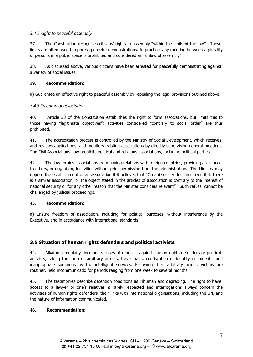#### <span id="page-6-0"></span>*3.4.2 Right to peaceful assembly*

37. The Constitution recognises citizens' rights to assembly "within the limits of the law". Those limits are often used to oppress peaceful demonstrations. In practice, any meeting between <sup>a</sup> plurality of persons in <sup>a</sup> public space is prohibited and considered an "unlawful assembly".

38. As discussed above, various citizens have been arrested for peacefully demonstrating against <sup>a</sup> variety of social issues.

#### 39. **Recommendation:**

a) Guarantee an effective right to peaceful assembly by repealing the legal provisions outlined above.

#### *3.4.3 Freedom of association*

40. Article 33 of the Constitution establishes the right to form associations, but limits this to those having "legitimate objectives"; activities considered "contrary to social order" are thus prohibited.

41. The accreditation process is controlled by the Ministry of Social Development, which receives and reviews applications, and monitors existing associations by directly supervising general meetings. The Civil Associations Law prohibits political and religious associations, including political parties.

42. The law forbids associations from having relations with foreign countries, providing assistance to others, or organising festivities without prior permission from the administration. The Ministry may oppose the establishment of an association if it believes that "Omani society does not need it, if there is <sup>a</sup> similar association, or the object stated in the articles of association is contrary to the interest of national security or for any other reason that the Minister considers relevant". Such refusal cannot be challenged by judicial proceedings.

#### 43. **Recommendation:**

a) Ensure freedom of association, including for political purposes, without interference by the Executive, and in accordance with international standards.

# **3.5 Situation of human rights defenders and political activists**

44. Alkarama regularly documents cases of reprisals against human rights defenders or political activists; taking the form of arbitrary arrests, travel bans, confiscation of identity documents, and inappropriate summons by the intelligent services. Following their arbitrary arrest, victims are routinely held incommunicado for periods ranging from one week to several months.

45. The testimonies describe detention conditions as inhuman and degrading. The right to have access to <sup>a</sup> lawyer or one'<sup>s</sup> relatives is rarely respected and interrogations always concern the activities of human rights defenders, their links with international organisations, including the UN, and the nature of information communicated.

#### 46. **Recommendation:**